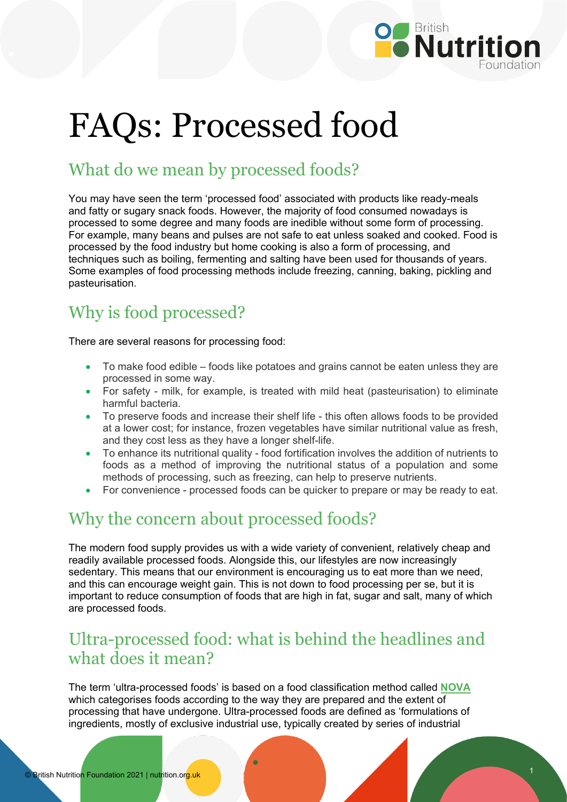

# FAQs: Processed food

## What do we mean by processed foods?

You may have seen the term 'processed food' associated with products like ready-meals and fatty or sugary snack foods. However, the majority of food consumed nowadays is processed to some degree and many foods are inedible without some form of processing. For example, many beans and pulses are not safe to eat unless soaked and cooked. Food is processed by the food industry but home cooking is also a form of processing, and techniques such as boiling, fermenting and salting have been used for thousands of years. Some examples of food processing methods include freezing, canning, baking, pickling and pasteurisation.

## Why is food processed?

There are several reasons for processing food:

- To make food edible foods like potatoes and grains cannot be eaten unless they are processed in some way.
- For safety milk, for example, is treated with mild heat (pasteurisation) to eliminate harmful bacteria.
- To preserve foods and increase their shelf life this often allows foods to be provided at a lower cost; for instance, frozen vegetables have similar nutritional value as fresh, and they cost less as they have a longer shelf-life.
- To enhance its nutritional quality food fortification involves the addition of nutrients to foods as a method of improving the nutritional status of a population and some methods of processing, such as freezing, can help to preserve nutrients.
- For convenience processed foods can be quicker to prepare or may be ready to eat.

### Why the concern about processed foods?

The modern food supply provides us with a wide variety of convenient, relatively cheap and readily available processed foods. Alongside this, our lifestyles are now increasingly sedentary. This means that our environment is encouraging us to eat more than we need, and this can encourage weight gain. This is not down to food processing per se, but it is important to reduce consumption of foods that are high in fat, sugar and salt, many of which are processed foods.

#### Ultra-processed food: what is behind the headlines and what does it mean?

The term 'ultra-processed foods' is based on a food classification method called **[NOVA](http://www.fao.org/3/ca5644en/ca5644en.pdf)** which categorises foods according to the way they are prepared and the extent of processing that have undergone. Ultra-processed foods are defined as 'formulations of ingredients, mostly of exclusive industrial use, typically created by series of industrial